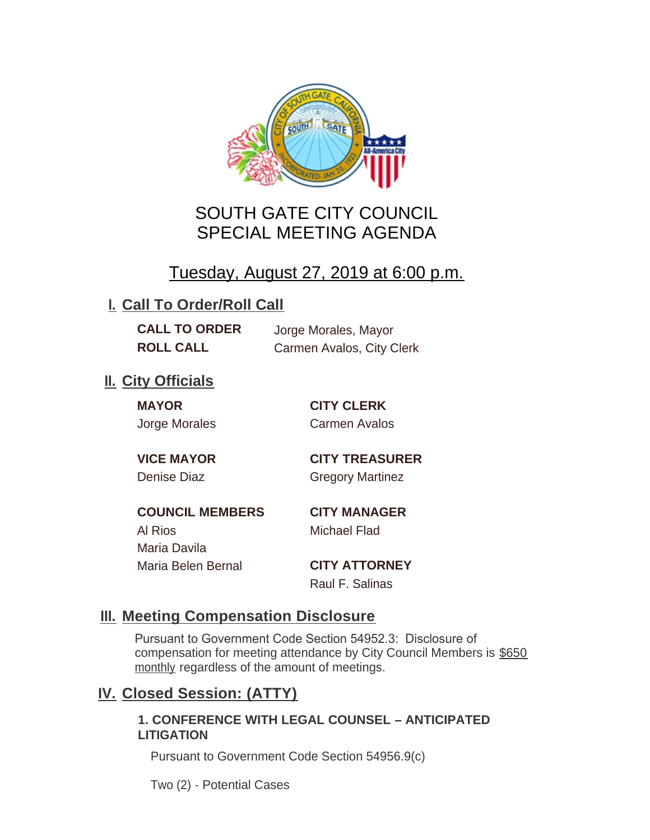

# SOUTH GATE CITY COUNCIL SPECIAL MEETING AGENDA

# Tuesday, August 27, 2019 at 6:00 p.m.

## **I. Call To Order/Roll Call**

**CALL TO ORDER** Jorge Morales, Mayor

**ROLL CALL** Carmen Avalos, City Clerk

## **II.** City Officials

**MAYOR CITY CLERK**

Jorge Morales Carmen Avalos

**VICE MAYOR CITY TREASURER** Denise Diaz Gregory Martinez

**COUNCIL MEMBERS CITY MANAGER** Al Rios Michael Flad Maria Davila Maria Belen Bernal **CITY ATTORNEY**

Raul F. Salinas

### **Meeting Compensation Disclosure III.**

Pursuant to Government Code Section 54952.3: Disclosure of compensation for meeting attendance by City Council Members is \$650 monthly regardless of the amount of meetings.

### **Closed Session: (ATTY) IV.**

#### **1. CONFERENCE WITH LEGAL COUNSEL – ANTICIPATED LITIGATION**

Pursuant to Government Code Section 54956.9(c)

Two (2) - Potential Cases